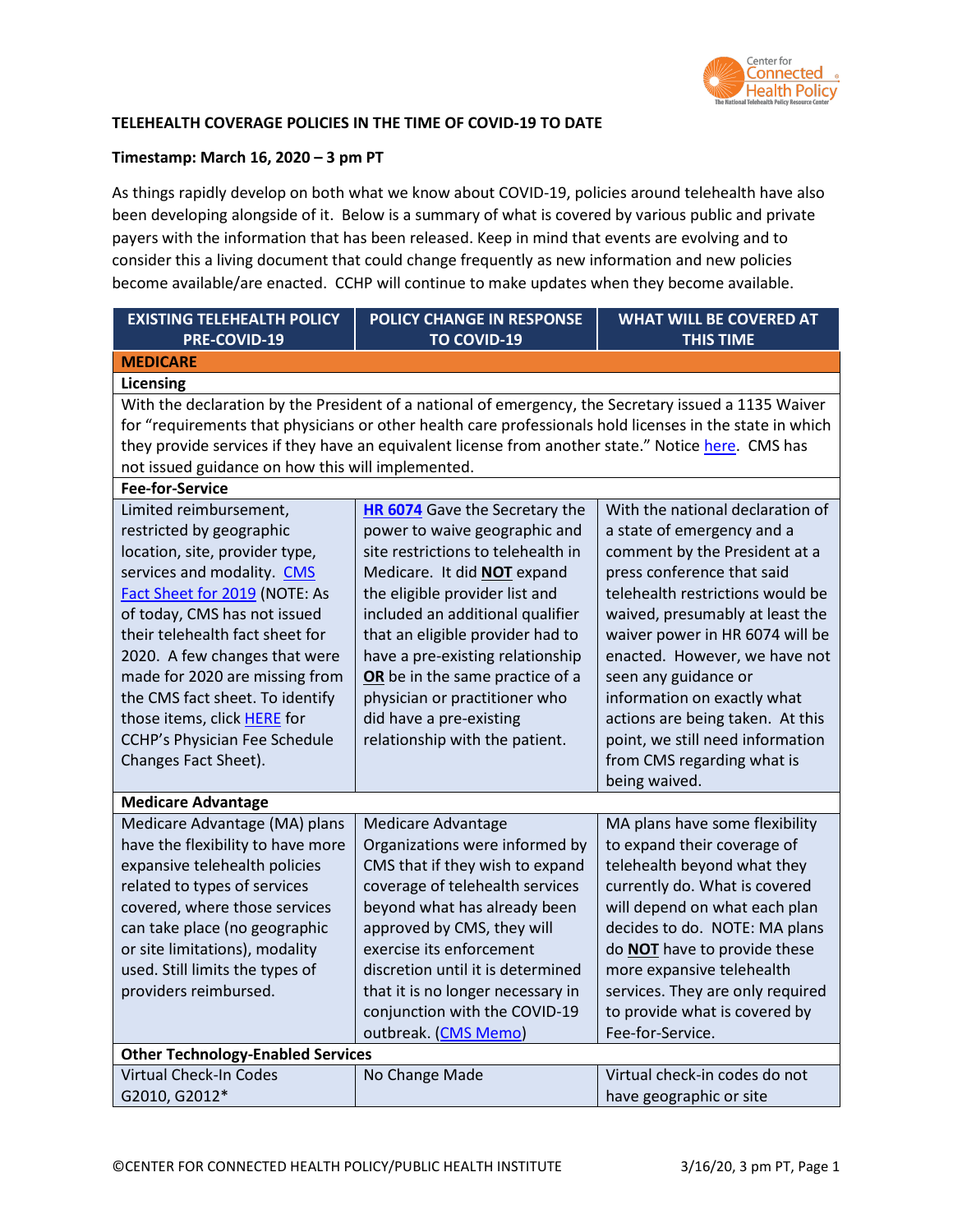

### **TELEHEALTH COVERAGE POLICIES IN THE TIME OF COVID-19 TO DATE**

#### **Timestamp: March 16, 2020 – 3 pm PT**

As things rapidly develop on both what we know about COVID-19, policies around telehealth have also been developing alongside of it. Below is a summary of what is covered by various public and private payers with the information that has been released. Keep in mind that events are evolving and to consider this a living document that could change frequently as new information and new policies become available/are enacted. CCHP will continue to make updates when they become available.

| <b>EXISTING TELEHEALTH POLICY</b>                             | POLICY CHANGE IN RESPONSE                                                                                | <b>WHAT WILL BE COVERED AT</b>                                 |  |
|---------------------------------------------------------------|----------------------------------------------------------------------------------------------------------|----------------------------------------------------------------|--|
| PRE-COVID-19                                                  | <b>TO COVID-19</b>                                                                                       | <b>THIS TIME</b>                                               |  |
| <b>MEDICARE</b>                                               |                                                                                                          |                                                                |  |
| Licensing                                                     |                                                                                                          |                                                                |  |
|                                                               | With the declaration by the President of a national of emergency, the Secretary issued a 1135 Waiver     |                                                                |  |
|                                                               | for "requirements that physicians or other health care professionals hold licenses in the state in which |                                                                |  |
|                                                               | they provide services if they have an equivalent license from another state." Notice here. CMS has       |                                                                |  |
| not issued guidance on how this will implemented.             |                                                                                                          |                                                                |  |
| <b>Fee-for-Service</b>                                        |                                                                                                          |                                                                |  |
| Limited reimbursement,                                        | <b>HR 6074</b> Gave the Secretary the                                                                    | With the national declaration of                               |  |
| restricted by geographic                                      | power to waive geographic and                                                                            | a state of emergency and a                                     |  |
| location, site, provider type,                                | site restrictions to telehealth in                                                                       | comment by the President at a                                  |  |
| services and modality. CMS                                    | Medicare. It did NOT expand                                                                              | press conference that said                                     |  |
| Fact Sheet for 2019 (NOTE: As                                 | the eligible provider list and                                                                           | telehealth restrictions would be                               |  |
| of today, CMS has not issued                                  | included an additional qualifier                                                                         | waived, presumably at least the                                |  |
| their telehealth fact sheet for                               | that an eligible provider had to                                                                         | waiver power in HR 6074 will be                                |  |
| 2020. A few changes that were                                 | have a pre-existing relationship                                                                         | enacted. However, we have not                                  |  |
| made for 2020 are missing from                                | OR be in the same practice of a                                                                          | seen any guidance or                                           |  |
| the CMS fact sheet. To identify                               | physician or practitioner who                                                                            | information on exactly what                                    |  |
| those items, click HERE for                                   | did have a pre-existing                                                                                  | actions are being taken. At this                               |  |
| <b>CCHP's Physician Fee Schedule</b>                          | relationship with the patient.                                                                           | point, we still need information                               |  |
| Changes Fact Sheet).                                          |                                                                                                          | from CMS regarding what is                                     |  |
|                                                               |                                                                                                          | being waived.                                                  |  |
| <b>Medicare Advantage</b>                                     |                                                                                                          |                                                                |  |
| Medicare Advantage (MA) plans                                 | <b>Medicare Advantage</b>                                                                                | MA plans have some flexibility                                 |  |
| have the flexibility to have more                             | Organizations were informed by                                                                           | to expand their coverage of                                    |  |
| expansive telehealth policies                                 | CMS that if they wish to expand                                                                          | telehealth beyond what they                                    |  |
| related to types of services<br>covered, where those services | coverage of telehealth services<br>beyond what has already been                                          | currently do. What is covered<br>will depend on what each plan |  |
| can take place (no geographic                                 | approved by CMS, they will                                                                               | decides to do. NOTE: MA plans                                  |  |
| or site limitations), modality                                | exercise its enforcement                                                                                 | do NOT have to provide these                                   |  |
| used. Still limits the types of                               | discretion until it is determined                                                                        | more expansive telehealth                                      |  |
| providers reimbursed.                                         | that it is no longer necessary in                                                                        | services. They are only required                               |  |
|                                                               | conjunction with the COVID-19                                                                            | to provide what is covered by                                  |  |
|                                                               | outbreak. (CMS Memo)                                                                                     | Fee-for-Service.                                               |  |
| <b>Other Technology-Enabled Services</b>                      |                                                                                                          |                                                                |  |
| Virtual Check-In Codes                                        | No Change Made                                                                                           | Virtual check-in codes do not                                  |  |
| G2010, G2012*                                                 |                                                                                                          | have geographic or site                                        |  |
|                                                               |                                                                                                          |                                                                |  |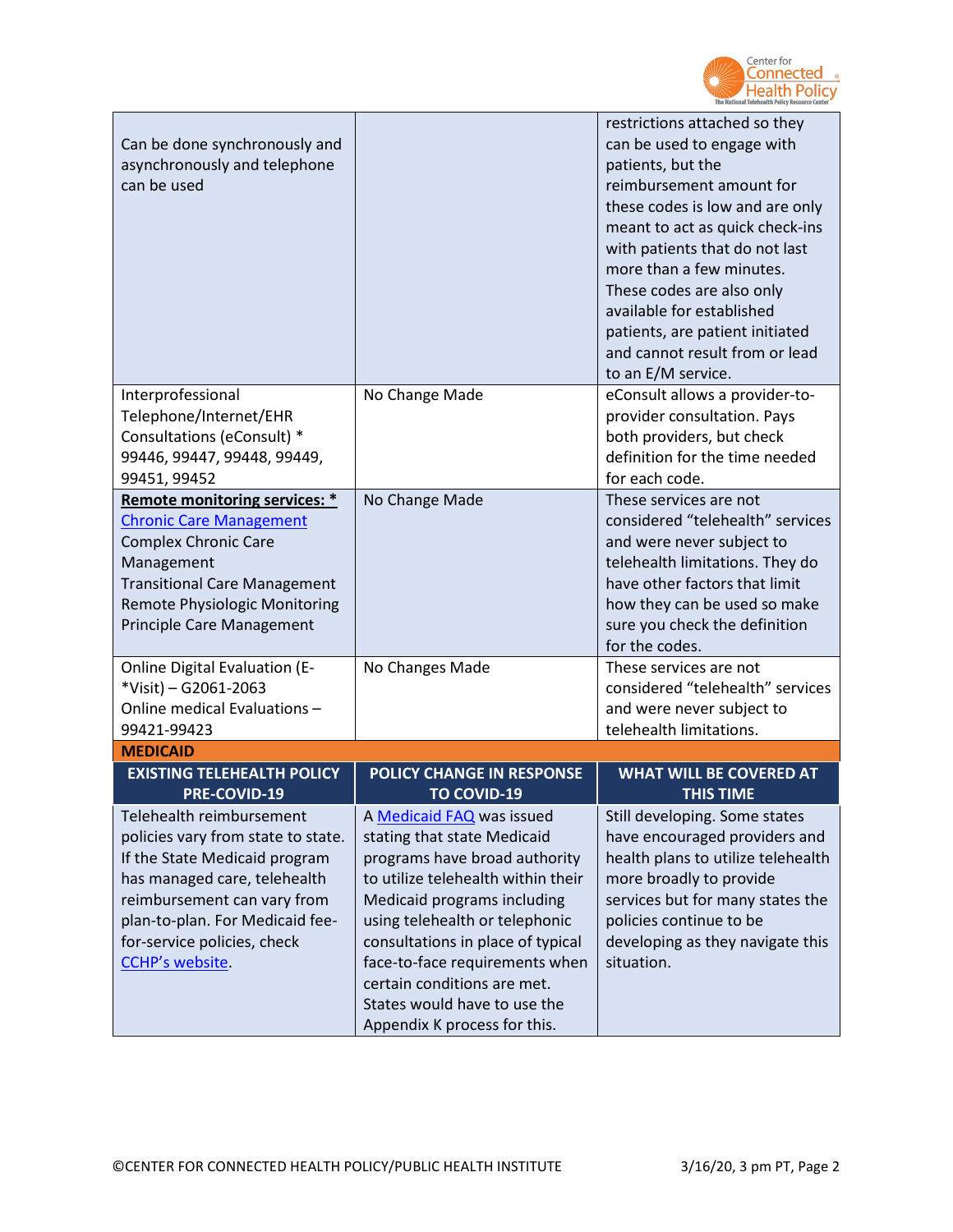

| Can be done synchronously and<br>asynchronously and telephone<br>can be used                                                                                                                                                                        |                                                                                                                                                                                                                                                                                                                                                                        | restrictions attached so they<br>can be used to engage with<br>patients, but the<br>reimbursement amount for<br>these codes is low and are only<br>meant to act as quick check-ins<br>with patients that do not last<br>more than a few minutes.<br>These codes are also only<br>available for established<br>patients, are patient initiated<br>and cannot result from or lead<br>to an E/M service. |
|-----------------------------------------------------------------------------------------------------------------------------------------------------------------------------------------------------------------------------------------------------|------------------------------------------------------------------------------------------------------------------------------------------------------------------------------------------------------------------------------------------------------------------------------------------------------------------------------------------------------------------------|-------------------------------------------------------------------------------------------------------------------------------------------------------------------------------------------------------------------------------------------------------------------------------------------------------------------------------------------------------------------------------------------------------|
| Interprofessional<br>Telephone/Internet/EHR<br>Consultations (eConsult) *<br>99446, 99447, 99448, 99449,<br>99451, 99452                                                                                                                            | No Change Made                                                                                                                                                                                                                                                                                                                                                         | eConsult allows a provider-to-<br>provider consultation. Pays<br>both providers, but check<br>definition for the time needed<br>for each code.                                                                                                                                                                                                                                                        |
| Remote monitoring services: *<br><b>Chronic Care Management</b><br><b>Complex Chronic Care</b><br>Management<br><b>Transitional Care Management</b><br>Remote Physiologic Monitoring<br>Principle Care Management                                   | No Change Made                                                                                                                                                                                                                                                                                                                                                         | These services are not<br>considered "telehealth" services<br>and were never subject to<br>telehealth limitations. They do<br>have other factors that limit<br>how they can be used so make<br>sure you check the definition<br>for the codes.                                                                                                                                                        |
| <b>Online Digital Evaluation (E-</b><br>*Visit) - G2061-2063<br>Online medical Evaluations-<br>99421-99423                                                                                                                                          | No Changes Made                                                                                                                                                                                                                                                                                                                                                        | These services are not<br>considered "telehealth" services<br>and were never subject to<br>telehealth limitations.                                                                                                                                                                                                                                                                                    |
| <b>MEDICAID</b>                                                                                                                                                                                                                                     |                                                                                                                                                                                                                                                                                                                                                                        |                                                                                                                                                                                                                                                                                                                                                                                                       |
| <b>EXISTING TELEHEALTH POLICY</b><br>PRE-COVID-19                                                                                                                                                                                                   | POLICY CHANGE IN RESPONSE<br><b>TO COVID-19</b>                                                                                                                                                                                                                                                                                                                        | <b>WHAT WILL BE COVERED AT</b><br><b>THIS TIME</b>                                                                                                                                                                                                                                                                                                                                                    |
| Telehealth reimbursement<br>policies vary from state to state.<br>If the State Medicaid program<br>has managed care, telehealth<br>reimbursement can vary from<br>plan-to-plan. For Medicaid fee-<br>for-service policies, check<br>CCHP's website. | A Medicaid FAQ was issued<br>stating that state Medicaid<br>programs have broad authority<br>to utilize telehealth within their<br>Medicaid programs including<br>using telehealth or telephonic<br>consultations in place of typical<br>face-to-face requirements when<br>certain conditions are met.<br>States would have to use the<br>Appendix K process for this. | Still developing. Some states<br>have encouraged providers and<br>health plans to utilize telehealth<br>more broadly to provide<br>services but for many states the<br>policies continue to be<br>developing as they navigate this<br>situation.                                                                                                                                                      |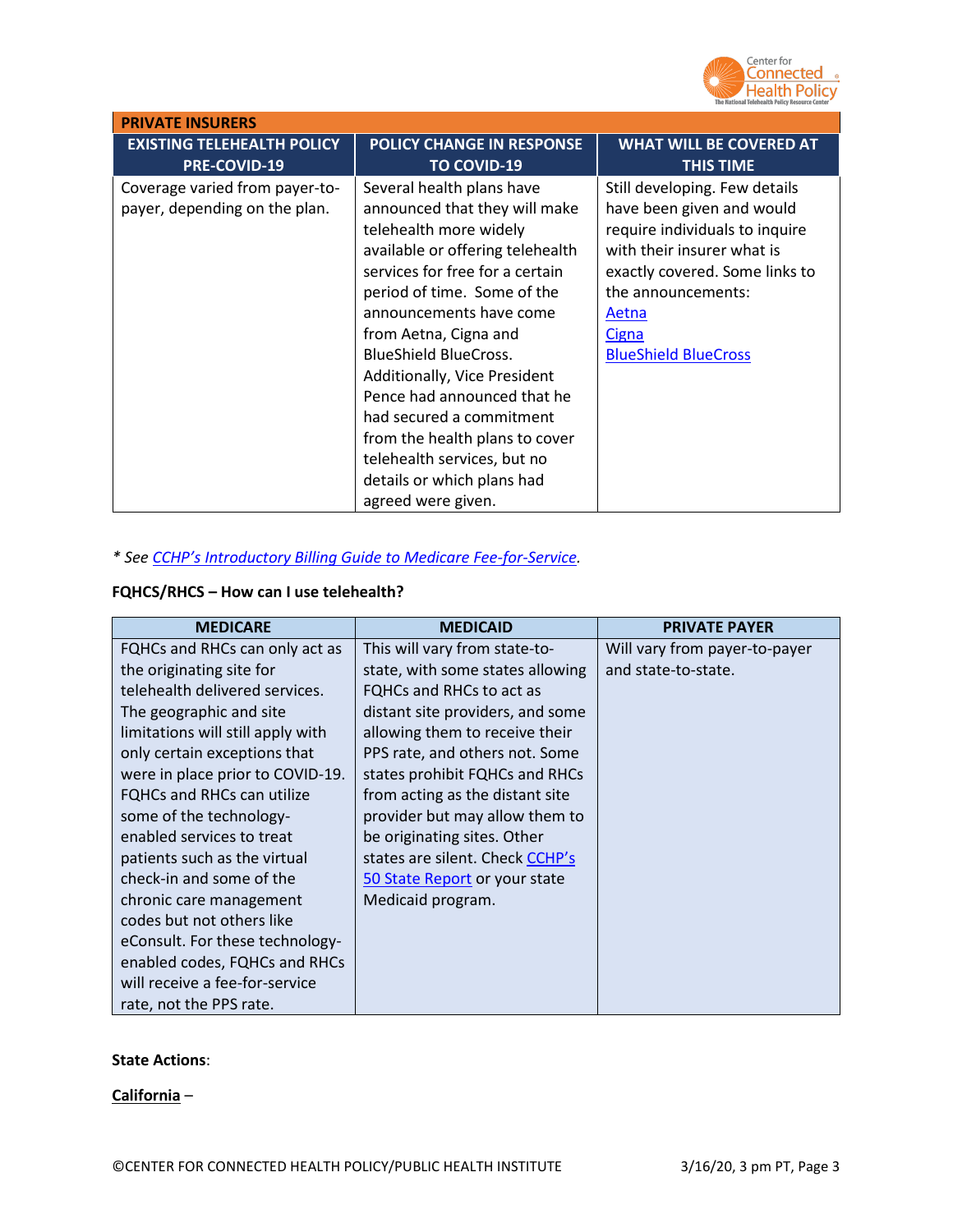

| <b>PRIVATE INSURERS</b>                                         |                                                                                                                                                                                                                                                                                                                                                                                                                                                                                                |                                                                                                                                                                                                                                            |  |  |
|-----------------------------------------------------------------|------------------------------------------------------------------------------------------------------------------------------------------------------------------------------------------------------------------------------------------------------------------------------------------------------------------------------------------------------------------------------------------------------------------------------------------------------------------------------------------------|--------------------------------------------------------------------------------------------------------------------------------------------------------------------------------------------------------------------------------------------|--|--|
| <b>EXISTING TELEHEALTH POLICY</b><br><b>PRE-COVID-19</b>        | <b>POLICY CHANGE IN RESPONSE</b><br><b>TO COVID-19</b>                                                                                                                                                                                                                                                                                                                                                                                                                                         | <b>WHAT WILL BE COVERED AT</b><br><b>THIS TIME</b>                                                                                                                                                                                         |  |  |
| Coverage varied from payer-to-<br>payer, depending on the plan. | Several health plans have<br>announced that they will make<br>telehealth more widely<br>available or offering telehealth<br>services for free for a certain<br>period of time. Some of the<br>announcements have come<br>from Aetna, Cigna and<br><b>BlueShield BlueCross.</b><br>Additionally, Vice President<br>Pence had announced that he<br>had secured a commitment<br>from the health plans to cover<br>telehealth services, but no<br>details or which plans had<br>agreed were given. | Still developing. Few details<br>have been given and would<br>require individuals to inquire<br>with their insurer what is<br>exactly covered. Some links to<br>the announcements:<br>Aetna<br><b>Cigna</b><br><b>BlueShield BlueCross</b> |  |  |

## *\* See [CCHP's Introductory Billing Guide to Medicare Fee-for-Service.](https://www.cchpca.org/sites/default/files/2020-01/Billing%20Guide%20for%20Telehealth%20Encounters_FINAL.pdf)*

# **FQHCS/RHCS – How can I use telehealth?**

| <b>MEDICARE</b>                   | <b>MEDICAID</b>                  | <b>PRIVATE PAYER</b>          |
|-----------------------------------|----------------------------------|-------------------------------|
| FQHCs and RHCs can only act as    | This will vary from state-to-    | Will vary from payer-to-payer |
| the originating site for          | state, with some states allowing | and state-to-state.           |
| telehealth delivered services.    | FQHCs and RHCs to act as         |                               |
| The geographic and site           | distant site providers, and some |                               |
| limitations will still apply with | allowing them to receive their   |                               |
| only certain exceptions that      | PPS rate, and others not. Some   |                               |
| were in place prior to COVID-19.  | states prohibit FQHCs and RHCs   |                               |
| <b>FQHCs and RHCs can utilize</b> | from acting as the distant site  |                               |
| some of the technology-           | provider but may allow them to   |                               |
| enabled services to treat         | be originating sites. Other      |                               |
| patients such as the virtual      | states are silent. Check CCHP's  |                               |
| check-in and some of the          | 50 State Report or your state    |                               |
| chronic care management           | Medicaid program.                |                               |
| codes but not others like         |                                  |                               |
| eConsult. For these technology-   |                                  |                               |
| enabled codes, FQHCs and RHCs     |                                  |                               |
| will receive a fee-for-service    |                                  |                               |
| rate, not the PPS rate.           |                                  |                               |

### **State Actions**:

**California** –